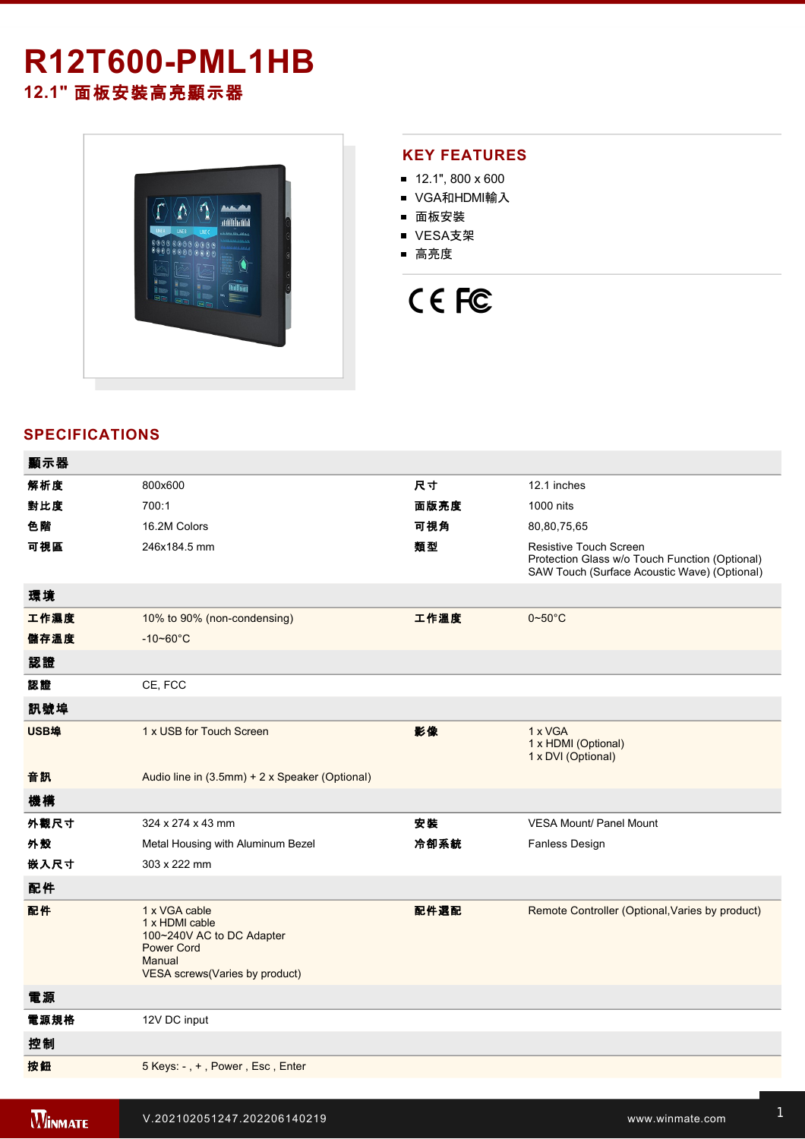# **R12T600-PML1HB 12.1"** 面板安裝高亮顯示器



## **KEY FEATURES**

- $12.1$ ", 800 x 600
- VGA和HDMI輸入
- 面板安裝
- VESA支架
- 高亮度

# CE FC

# **SPECIFICATIONS**

| 顯示器  |                                                                                                                               |      |                                                                                                                          |
|------|-------------------------------------------------------------------------------------------------------------------------------|------|--------------------------------------------------------------------------------------------------------------------------|
| 解析度  | 800x600                                                                                                                       | 尺寸   | 12.1 inches                                                                                                              |
| 對比度  | 700:1                                                                                                                         | 面版亮度 | 1000 nits                                                                                                                |
| 色階   | 16.2M Colors                                                                                                                  | 可視角  | 80,80,75,65                                                                                                              |
| 可視區  | 246x184.5 mm                                                                                                                  | 類型   | Resistive Touch Screen<br>Protection Glass w/o Touch Function (Optional)<br>SAW Touch (Surface Acoustic Wave) (Optional) |
| 環境   |                                                                                                                               |      |                                                                                                                          |
| 工作濕度 | 10% to 90% (non-condensing)                                                                                                   | 工作溫度 | $0\negthinspace\negthinspace\negthinspace 50^{\circ}\mathrm{C}$                                                          |
| 儲存溫度 | $-10 - 60^{\circ}C$                                                                                                           |      |                                                                                                                          |
| 認證   |                                                                                                                               |      |                                                                                                                          |
| 認證   | CE, FCC                                                                                                                       |      |                                                                                                                          |
| 訊號埠  |                                                                                                                               |      |                                                                                                                          |
| USB埠 | 1 x USB for Touch Screen                                                                                                      | 影像   | 1 x VGA<br>1 x HDMI (Optional)<br>1 x DVI (Optional)                                                                     |
| 音訊   | Audio line in (3.5mm) + 2 x Speaker (Optional)                                                                                |      |                                                                                                                          |
| 機構   |                                                                                                                               |      |                                                                                                                          |
| 外觀尺寸 | 324 x 274 x 43 mm                                                                                                             | 安装   | <b>VESA Mount/ Panel Mount</b>                                                                                           |
| 外殼   | Metal Housing with Aluminum Bezel                                                                                             | 冷卻系統 | <b>Fanless Design</b>                                                                                                    |
| 嵌入尺寸 | 303 x 222 mm                                                                                                                  |      |                                                                                                                          |
| 配件   |                                                                                                                               |      |                                                                                                                          |
| 配件   | 1 x VGA cable<br>1 x HDMI cable<br>100~240V AC to DC Adapter<br><b>Power Cord</b><br>Manual<br>VESA screws(Varies by product) | 配件選配 | Remote Controller (Optional, Varies by product)                                                                          |
| 電源   |                                                                                                                               |      |                                                                                                                          |
| 電源規格 | 12V DC input                                                                                                                  |      |                                                                                                                          |
| 控制   |                                                                                                                               |      |                                                                                                                          |
| 按鈕   | 5 Keys: -, +, Power, Esc, Enter                                                                                               |      |                                                                                                                          |
|      |                                                                                                                               |      |                                                                                                                          |

**Windows 2007 PML1HB** Product 2007 PML1HB